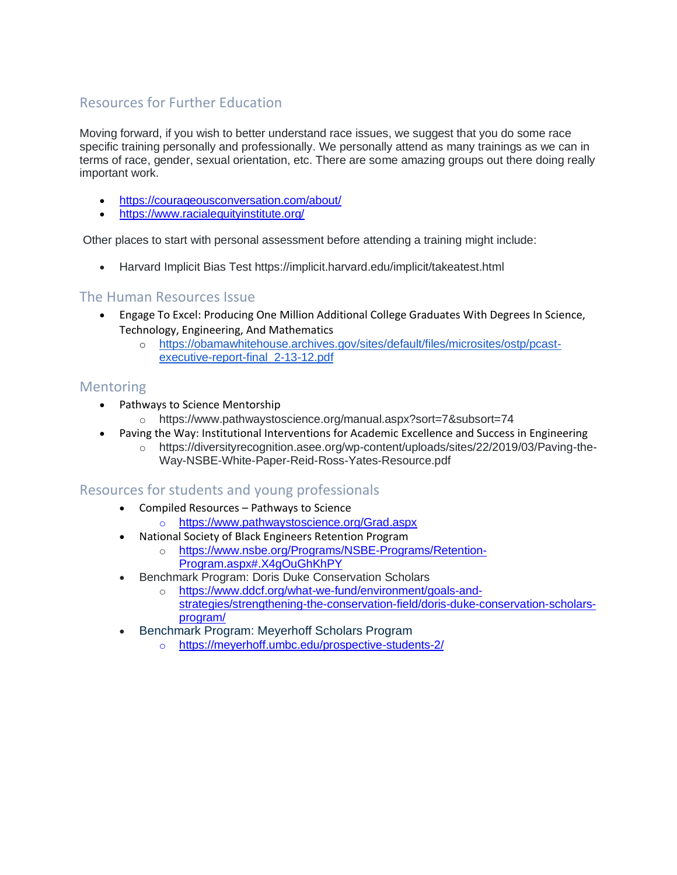# Resources for Further Education

Moving forward, if you wish to better understand race issues, we suggest that you do some race specific training personally and professionally. We personally attend as many trainings as we can in terms of race, gender, sexual orientation, etc. There are some amazing groups out there doing really important work.

- <https://courageousconversation.com/about/>
- <https://www.racialequityinstitute.org/>

Other places to start with personal assessment before attending a training might include:

• Harvard Implicit Bias Test https://implicit.harvard.edu/implicit/takeatest.html

#### The Human Resources Issue

- Engage To Excel: Producing One Million Additional College Graduates With Degrees In Science, Technology, Engineering, And Mathematics
	- o [https://obamawhitehouse.archives.gov/sites/default/files/microsites/ostp/pcast](https://obamawhitehouse.archives.gov/sites/default/files/microsites/ostp/pcast-executive-report-final_2-13-12.pdf)[executive-report-final\\_2-13-12.pdf](https://obamawhitehouse.archives.gov/sites/default/files/microsites/ostp/pcast-executive-report-final_2-13-12.pdf)

### **Mentoring**

- Pathways to Science Mentorship
	- o https://www.pathwaystoscience.org/manual.aspx?sort=7&subsort=74
- Paving the Way: Institutional Interventions for Academic Excellence and Success in Engineering
	- o https://diversityrecognition.asee.org/wp-content/uploads/sites/22/2019/03/Paving-the-Way-NSBE-White-Paper-Reid-Ross-Yates-Resource.pdf

### Resources for students and young professionals

- Compiled Resources Pathways to Science
	- o https://www.pathwaystoscience.org/Grad.aspx
- National Society of Black Engineers Retention Program
	- o [https://www.nsbe.org/Programs/NSBE-Programs/Retention-](https://www.nsbe.org/Programs/NSBE-Programs/Retention-Program.aspx#.X4gOuGhKhPY)[Program.aspx#.X4gOuGhKhPY](https://www.nsbe.org/Programs/NSBE-Programs/Retention-Program.aspx#.X4gOuGhKhPY)
- Benchmark Program: Doris Duke Conservation Scholars
	- o [https://www.ddcf.org/what-we-fund/environment/goals-and](https://www.ddcf.org/what-we-fund/environment/goals-and-strategies/strengthening-the-conservation-field/doris-duke-conservation-scholars-program/)[strategies/strengthening-the-conservation-field/doris-duke-conservation-scholars](https://www.ddcf.org/what-we-fund/environment/goals-and-strategies/strengthening-the-conservation-field/doris-duke-conservation-scholars-program/)[program/](https://www.ddcf.org/what-we-fund/environment/goals-and-strategies/strengthening-the-conservation-field/doris-duke-conservation-scholars-program/)
- Benchmark Program: Meyerhoff Scholars Program
	- o https://meyerhoff.umbc.edu/prospective-students-2/